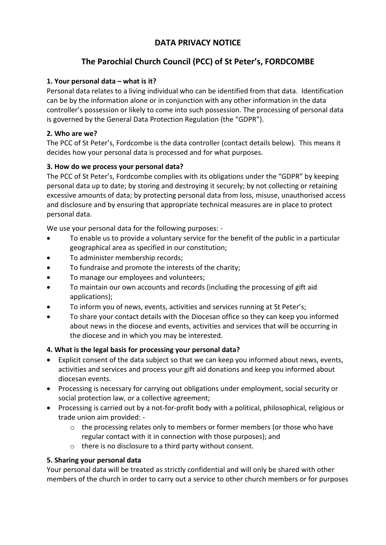# **DATA PRIVACY NOTICE**

# **The Parochial Church Council (PCC) of St Peter's, FORDCOMBE**

## **1. Your personal data – what is it?**

Personal data relates to a living individual who can be identified from that data. Identification can be by the information alone or in conjunction with any other information in the data controller's possession or likely to come into such possession. The processing of personal data is governed by the General Data Protection Regulation (the "GDPR").

### **2. Who are we?**

The PCC of St Peter's, Fordcombe is the data controller (contact details below). This means it decides how your personal data is processed and for what purposes.

### **3. How do we process your personal data?**

The PCC of St Peter's, Fordcombe complies with its obligations under the "GDPR" by keeping personal data up to date; by storing and destroying it securely; by not collecting or retaining excessive amounts of data; by protecting personal data from loss, misuse, unauthorised access and disclosure and by ensuring that appropriate technical measures are in place to protect personal data.

We use your personal data for the following purposes: -

- To enable us to provide a voluntary service for the benefit of the public in a particular geographical area as specified in our constitution;
- To administer membership records;
- To fundraise and promote the interests of the charity;
- To manage our employees and volunteers;
- To maintain our own accounts and records (including the processing of gift aid applications);
- To inform you of news, events, activities and services running at St Peter's;
- To share your contact details with the Diocesan office so they can keep you informed about news in the diocese and events, activities and services that will be occurring in the diocese and in which you may be interested.

#### **4. What is the legal basis for processing your personal data?**

- Explicit consent of the data subject so that we can keep you informed about news, events, activities and services and process your gift aid donations and keep you informed about diocesan events.
- Processing is necessary for carrying out obligations under employment, social security or social protection law, or a collective agreement;
- Processing is carried out by a not-for-profit body with a political, philosophical, religious or trade union aim provided: -
	- $\circ$  the processing relates only to members or former members (or those who have regular contact with it in connection with those purposes); and
	- o there is no disclosure to a third party without consent.

#### **5. Sharing your personal data**

Your personal data will be treated as strictly confidential and will only be shared with other members of the church in order to carry out a service to other church members or for purposes